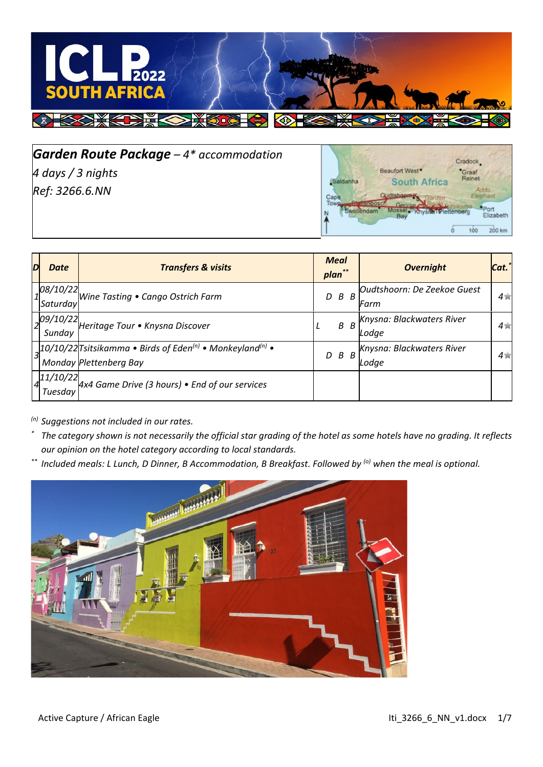

*Garden Route Package – 4\* accommodation 4 days / 3 nights Ref: 3266.6.NN*



| D | <b>Date</b>          | <b>Transfers &amp; visits</b>                                                                                     | <b>Meal</b><br>plan** | <b>Overnight</b>                    | Cat.   |
|---|----------------------|-------------------------------------------------------------------------------------------------------------------|-----------------------|-------------------------------------|--------|
|   | 08/10/22<br>Saturday | Wine Tasting . Cango Ostrich Farm                                                                                 | B<br>D<br>B           | Oudtshoorn: De Zeekoe Guest<br>Farm | $4\pi$ |
|   | 09/10/22<br>Sunday   | Heritage Tour . Knysna Discover                                                                                   | $B$ $B$<br>L          | Knysna: Blackwaters River<br>Lodae  | $4\pi$ |
|   |                      | $ 3 $ 10/10/22 Tsitsikamma • Birds of Eden <sup>(n)</sup> • Monkeyland <sup>(n)</sup> •<br>Monday Plettenberg Bay | $D$ $B$ $B$           | Knysna: Blackwaters River<br>Lodae  | $4\pi$ |
|   | 11/10/22<br>Tuesday  | $4x4$ Game Drive (3 hours) $\bullet$ End of our services                                                          |                       |                                     |        |

*(n) Suggestions not included in our rates.*

- *\* The category shown is not necessarily the official star grading of the hotel as some hotels have no grading. It reflects our opinion on the hotel category according to local standards.*
- *\*\* Included meals: L Lunch, D Dinner, B Accommodation, B Breakfast. Followed by (o) when the meal is optional.*

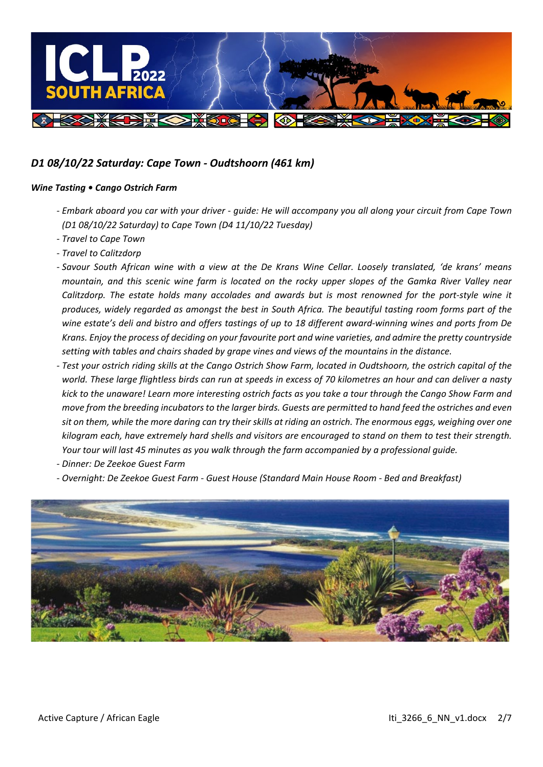

## *D1 08/10/22 Saturday: Cape Town - Oudtshoorn (461 km)*

### *Wine Tasting • Cango Ostrich Farm*

- *- Embark aboard you car with your driver - guide: He will accompany you all along your circuit from Cape Town (D1 08/10/22 Saturday) to Cape Town (D4 11/10/22 Tuesday)*
- *- Travel to Cape Town*
- *- Travel to Calitzdorp*
- *- Savour South African wine with a view at the De Krans Wine Cellar. Loosely translated, 'de krans' means mountain, and this scenic wine farm is located on the rocky upper slopes of the Gamka River Valley near Calitzdorp. The estate holds many accolades and awards but is most renowned for the port-style wine it produces, widely regarded as amongst the best in South Africa. The beautiful tasting room forms part of the wine estate's deli and bistro and offers tastings of up to 18 different award-winning wines and ports from De Krans. Enjoy the process of deciding on your favourite port and wine varieties, and admire the pretty countryside setting with tables and chairs shaded by grape vines and views of the mountains in the distance.*
- *- Test your ostrich riding skills at the Cango Ostrich Show Farm, located in Oudtshoorn, the ostrich capital of the world. These large flightless birds can run at speeds in excess of 70 kilometres an hour and can deliver a nasty kick to the unaware! Learn more interesting ostrich facts as you take a tour through the Cango Show Farm and move from the breeding incubators to the larger birds. Guests are permitted to hand feed the ostriches and even sit on them, while the more daring can try their skills at riding an ostrich. The enormous eggs, weighing over one kilogram each, have extremely hard shells and visitors are encouraged to stand on them to test their strength. Your tour will last 45 minutes as you walk through the farm accompanied by a professional guide.*
- *- Dinner: De Zeekoe Guest Farm*
- *- Overnight: De Zeekoe Guest Farm - Guest House (Standard Main House Room - Bed and Breakfast)*

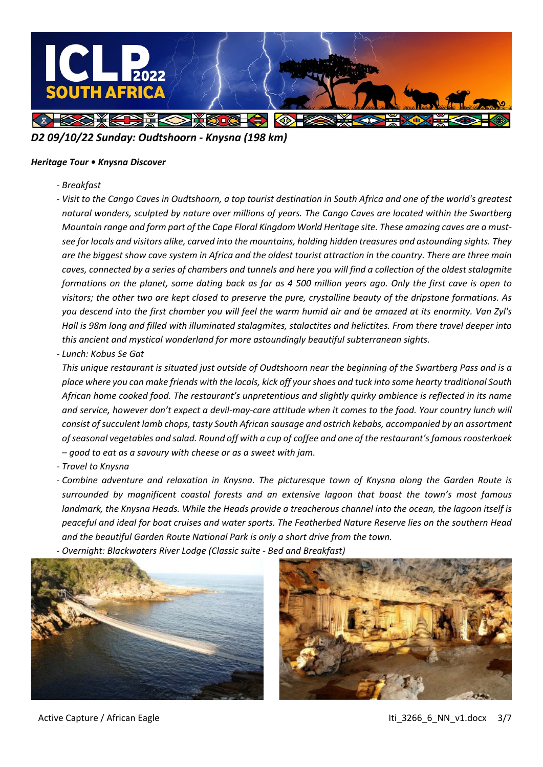

## *D2 09/10/22 Sunday: Oudtshoorn - Knysna (198 km)*

### *Heritage Tour • Knysna Discover*

*- Breakfast*

*- Visit to the Cango Caves in Oudtshoorn, a top tourist destination in South Africa and one of the world's greatest natural wonders, sculpted by nature over millions of years. The Cango Caves are located within the Swartberg Mountain range and form part of the Cape Floral Kingdom World Heritage site. These amazing caves are a mustsee for locals and visitors alike, carved into the mountains, holding hidden treasures and astounding sights. They are the biggest show cave system in Africa and the oldest tourist attraction in the country. There are three main*  caves, connected by a series of chambers and tunnels and here you will find a collection of the oldest stalagmite *formations on the planet, some dating back as far as 4 500 million years ago. Only the first cave is open to visitors; the other two are kept closed to preserve the pure, crystalline beauty of the dripstone formations. As you descend into the first chamber you will feel the warm humid air and be amazed at its enormity. Van Zyl's Hall is 98m long and filled with illuminated stalagmites, stalactites and helictites. From there travel deeper into this ancient and mystical wonderland for more astoundingly beautiful subterranean sights.*

*- Lunch: Kobus Se Gat*

*This unique restaurant is situated just outside of Oudtshoorn near the beginning of the Swartberg Pass and is a place where you can make friends with the locals, kick off your shoes and tuck into some hearty traditional South African home cooked food. The restaurant's unpretentious and slightly quirky ambience is reflected in its name*  and service, however don't expect a devil-may-care attitude when it comes to the food. Your country lunch will *consist of succulent lamb chops, tasty South African sausage and ostrich kebabs, accompanied by an assortment of seasonal vegetables and salad. Round off with a cup of coffee and one of the restaurant's famous roosterkoek – good to eat as a savoury with cheese or as a sweet with jam.*

*- Travel to Knysna*

*- Combine adventure and relaxation in Knysna. The picturesque town of Knysna along the Garden Route is surrounded by magnificent coastal forests and an extensive lagoon that boast the town's most famous landmark, the Knysna Heads. While the Heads provide a treacherous channel into the ocean, the lagoon itself is peaceful and ideal for boat cruises and water sports. The Featherbed Nature Reserve lies on the southern Head and the beautiful Garden Route National Park is only a short drive from the town.*

*- Overnight: Blackwaters River Lodge (Classic suite - Bed and Breakfast)*





Active Capture / African Eagle Itias and the Capture of African Eagle Itias and the Itias 266 6 NN v1.docx 3/7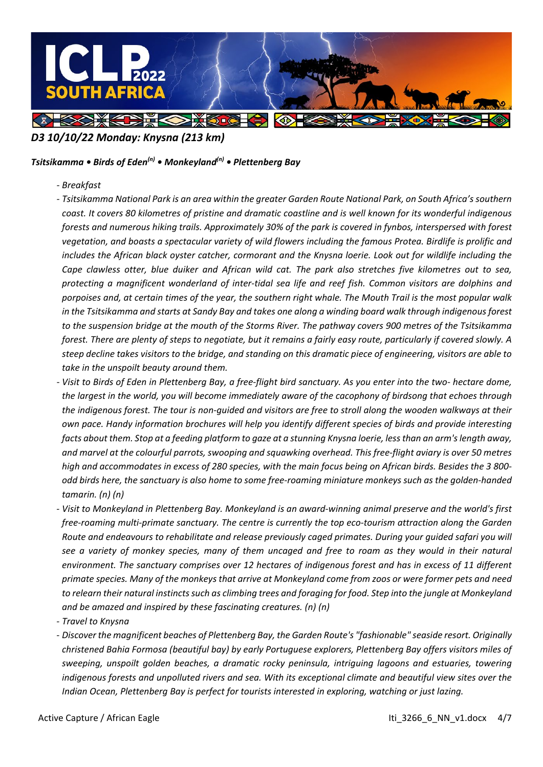

## *D3 10/10/22 Monday: Knysna (213 km)*

### *Tsitsikamma • Birds of Eden(n) • Monkeyland(n) • Plettenberg Bay*

- *- Breakfast*
- *- Tsitsikamma National Park is an area within the greater Garden Route National Park, on South Africa's southern coast. It covers 80 kilometres of pristine and dramatic coastline and is well known for its wonderful indigenous forests and numerous hiking trails. Approximately 30% of the park is covered in fynbos, interspersed with forest vegetation, and boasts a spectacular variety of wild flowers including the famous Protea. Birdlife is prolific and includes the African black oyster catcher, cormorant and the Knysna loerie. Look out for wildlife including the Cape clawless otter, blue duiker and African wild cat. The park also stretches five kilometres out to sea, protecting a magnificent wonderland of inter-tidal sea life and reef fish. Common visitors are dolphins and porpoises and, at certain times of the year, the southern right whale. The Mouth Trail is the most popular walk in the Tsitsikamma and starts at Sandy Bay and takes one along a winding board walk through indigenous forest to the suspension bridge at the mouth of the Storms River. The pathway covers 900 metres of the Tsitsikamma forest. There are plenty of steps to negotiate, but it remains a fairly easy route, particularly if covered slowly. A steep decline takes visitors to the bridge, and standing on this dramatic piece of engineering, visitors are able to take in the unspoilt beauty around them.*
- *- Visit to Birds of Eden in Plettenberg Bay, a free-flight bird sanctuary. As you enter into the two- hectare dome, the largest in the world, you will become immediately aware of the cacophony of birdsong that echoes through the indigenous forest. The tour is non-guided and visitors are free to stroll along the wooden walkways at their own pace. Handy information brochures will help you identify different species of birds and provide interesting facts about them. Stop at a feeding platform to gaze at a stunning Knysna loerie, less than an arm's length away, and marvel at the colourful parrots, swooping and squawking overhead. This free-flight aviary is over 50 metres high and accommodates in excess of 280 species, with the main focus being on African birds. Besides the 3 800 odd birds here, the sanctuary is also home to some free-roaming miniature monkeys such as the golden-handed tamarin. (n) (n)*
- *- Visit to Monkeyland in Plettenberg Bay. Monkeyland is an award-winning animal preserve and the world's first free-roaming multi-primate sanctuary. The centre is currently the top eco-tourism attraction along the Garden Route and endeavours to rehabilitate and release previously caged primates. During your guided safari you will see a variety of monkey species, many of them uncaged and free to roam as they would in their natural environment. The sanctuary comprises over 12 hectares of indigenous forest and has in excess of 11 different primate species. Many of the monkeys that arrive at Monkeyland come from zoos or were former pets and need to relearn their natural instincts such as climbing trees and foraging for food. Step into the jungle at Monkeyland and be amazed and inspired by these fascinating creatures. (n) (n)*
- *- Travel to Knysna*
- *- Discover the magnificent beaches of Plettenberg Bay, the Garden Route's "fashionable" seaside resort. Originally christened Bahia Formosa (beautiful bay) by early Portuguese explorers, Plettenberg Bay offers visitors miles of sweeping, unspoilt golden beaches, a dramatic rocky peninsula, intriguing lagoons and estuaries, towering indigenous forests and unpolluted rivers and sea. With its exceptional climate and beautiful view sites over the Indian Ocean, Plettenberg Bay is perfect for tourists interested in exploring, watching or just lazing.*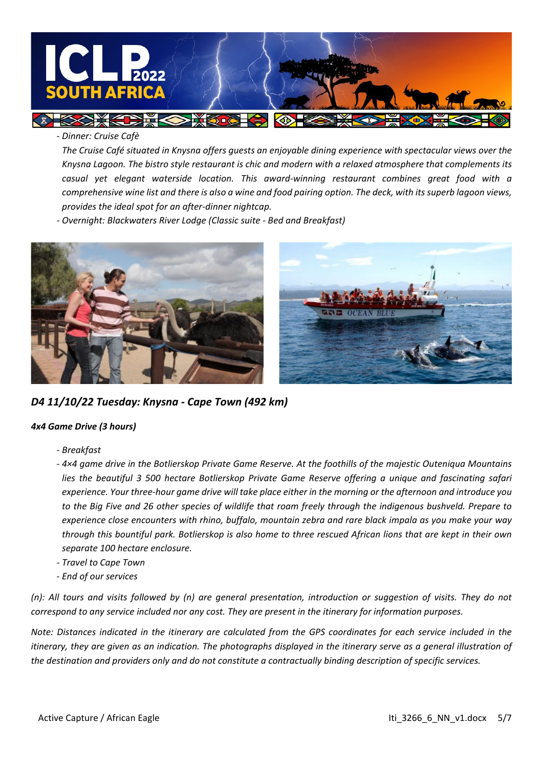

*- Dinner: Cruise Cafè*

*The Cruise Café situated in Knysna offers guests an enjoyable dining experience with spectacular views over the Knysna Lagoon. The bistro style restaurant is chic and modern with a relaxed atmosphere that complements its casual yet elegant waterside location. This award-winning restaurant combines great food with a comprehensive wine list and there is also a wine and food pairing option. The deck, with its superb lagoon views, provides the ideal spot for an after-dinner nightcap.*

KO

*- Overnight: Blackwaters River Lodge (Classic suite - Bed and Breakfast)*

**DESCRIPTION** 



*D4 11/10/22 Tuesday: Knysna - Cape Town (492 km)*

### *4x4 Game Drive (3 hours)*

- *- Breakfast*
- *- 4×4 game drive in the Botlierskop Private Game Reserve. At the foothills of the majestic Outeniqua Mountains lies the beautiful 3 500 hectare Botlierskop Private Game Reserve offering a unique and fascinating safari experience. Your three-hour game drive will take place either in the morning or the afternoon and introduce you to the Big Five and 26 other species of wildlife that roam freely through the indigenous bushveld. Prepare to experience close encounters with rhino, buffalo, mountain zebra and rare black impala as you make your way through this bountiful park. Botlierskop is also home to three rescued African lions that are kept in their own separate 100 hectare enclosure.*
- *- Travel to Cape Town*
- *- End of our services*

(n): All tours and visits followed by (n) are general presentation, introduction or suggestion of visits. They do not *correspond to any service included nor any cost. They are present in the itinerary for information purposes.*

*Note: Distances indicated in the itinerary are calculated from the GPS coordinates for each service included in the itinerary, they are given as an indication. The photographs displayed in the itinerary serve as a general illustration of the destination and providers only and do not constitute a contractually binding description of specific services.*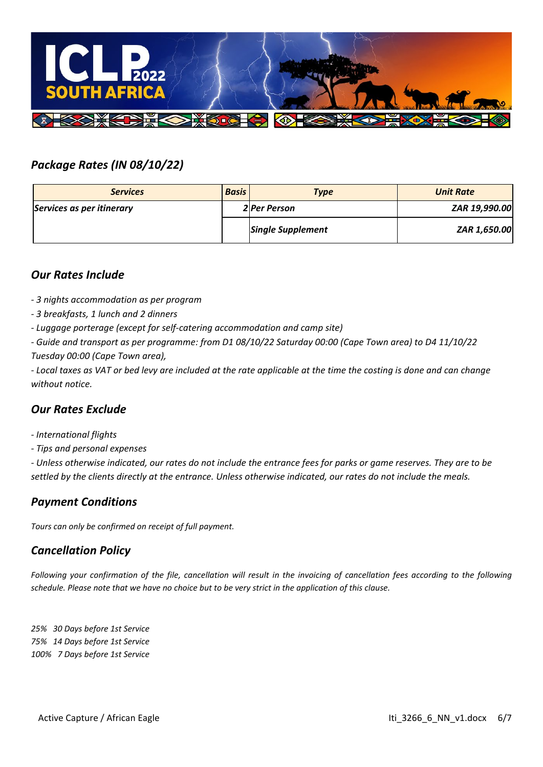

# *Package Rates (IN 08/10/22)*

| <b>Services</b>           | <b>Basis</b> | <b>Type</b>              | <b>Unit Rate</b> |
|---------------------------|--------------|--------------------------|------------------|
| Services as per itinerary |              | <b>2</b> Per Person      | ZAR 19,990.00    |
|                           |              | <b>Single Supplement</b> | ZAR 1,650.00     |

## *Our Rates Include*

- *- 3 nights accommodation as per program*
- *- 3 breakfasts, 1 lunch and 2 dinners*
- *- Luggage porterage (except for self-catering accommodation and camp site)*
- *- Guide and transport as per programme: from D1 08/10/22 Saturday 00:00 (Cape Town area) to D4 11/10/22 Tuesday 00:00 (Cape Town area),*

*- Local taxes as VAT or bed levy are included at the rate applicable at the time the costing is done and can change without notice.*

## *Our Rates Exclude*

- *- International flights*
- *- Tips and personal expenses*

*- Unless otherwise indicated, our rates do not include the entrance fees for parks or game reserves. They are to be settled by the clients directly at the entrance. Unless otherwise indicated, our rates do not include the meals.*

## *Payment Conditions*

*Tours can only be confirmed on receipt of full payment.*

## *Cancellation Policy*

*Following your confirmation of the file, cancellation will result in the invoicing of cancellation fees according to the following schedule. Please note that we have no choice but to be very strict in the application of this clause.*

*25% 30 Days before 1st Service 75% 14 Days before 1st Service 100% 7 Days before 1st Service*